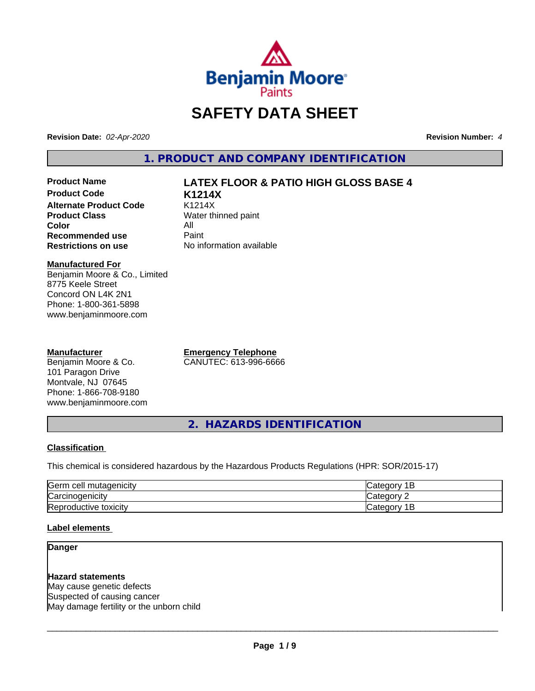

# **SAFETY DATA SHEET**

**Revision Date:** *02-Apr-2020* **Revision Number:** *4*

**1. PRODUCT AND COMPANY IDENTIFICATION**

**Product Code K1214X Alternate Product Code** K1214X<br> **Product Class** Water th **Color** All<br> **Recommended use** Paint **Recommended use**<br>Restrictions on use

# **Product Name LATEX FLOOR & PATIO HIGH GLOSS BASE 4**

**Water thinned paint Restrictions on use** No information available

#### **Manufactured For**

Benjamin Moore & Co., Limited 8775 Keele Street Concord ON L4K 2N1 Phone: 1-800-361-5898 www.benjaminmoore.com

#### **Manufacturer**

Benjamin Moore & Co. 101 Paragon Drive Montvale, NJ 07645 Phone: 1-866-708-9180 www.benjaminmoore.com **Emergency Telephone** CANUTEC: 613-996-6666

**2. HAZARDS IDENTIFICATION**

#### **Classification**

This chemical is considered hazardous by the Hazardous Products Regulations (HPR: SOR/2015-17)

| <b>IGerm</b><br>cell<br>mutagenicity | AIPOP<br>$\sim$ $\sim$<br>-                       |
|--------------------------------------|---------------------------------------------------|
| ⌒<br> Carcinogenicity                | $\sim$ $\sim$ $\sim$<br>ำืื้<br>16                |
| −<br>toxicity<br>'Reproductive       | -<br>$A$ IANO <sup>r</sup><br>$\sim$<br>vait<br>- |

#### **Label elements**

#### **Danger**

**Hazard statements** May cause genetic defects Suspected of causing cancer May damage fertility or the unborn child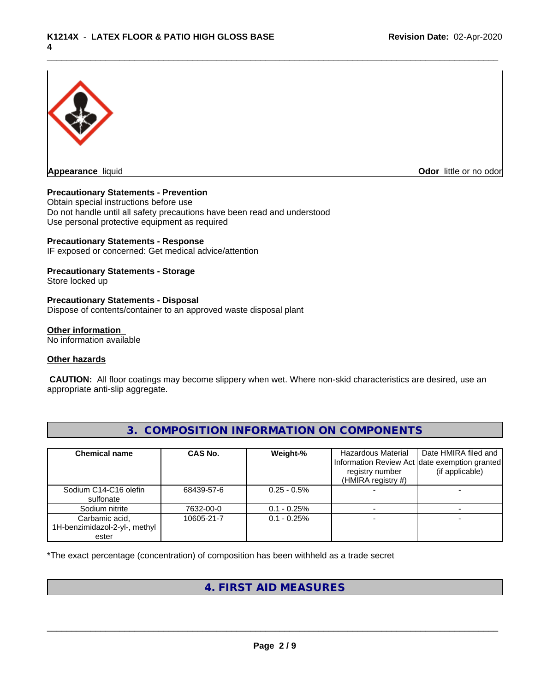

**Odor** little or no odor

#### **Precautionary Statements - Prevention**

Obtain special instructions before use Do not handle until all safety precautions have been read and understood Use personal protective equipment as required

#### **Precautionary Statements - Response**

IF exposed or concerned: Get medical advice/attention

#### **Precautionary Statements - Storage**

Store locked up

#### **Precautionary Statements - Disposal**

Dispose of contents/container to an approved waste disposal plant

#### **Other information**

No information available

#### **Other hazards**

 **CAUTION:** All floor coatings may become slippery when wet. Where non-skid characteristics are desired, use an appropriate anti-slip aggregate.

| <b>Chemical name</b>          | CAS No.    | Weight-%       | Hazardous Material | Date HMIRA filed and                          |
|-------------------------------|------------|----------------|--------------------|-----------------------------------------------|
|                               |            |                |                    | Information Review Act date exemption granted |
|                               |            |                | registry number    | (if applicable)                               |
|                               |            |                | (HMIRA registry #) |                                               |
| Sodium C14-C16 olefin         | 68439-57-6 | $0.25 - 0.5%$  |                    |                                               |
| sulfonate                     |            |                |                    |                                               |
| Sodium nitrite                | 7632-00-0  | $0.1 - 0.25\%$ |                    |                                               |
| Carbamic acid,                | 10605-21-7 | $0.1 - 0.25\%$ |                    |                                               |
| 1H-benzimidazol-2-yl-, methyl |            |                |                    |                                               |
| ester                         |            |                |                    |                                               |

**3. COMPOSITION INFORMATION ON COMPONENTS**

\*The exact percentage (concentration) of composition has been withheld as a trade secret

## **4. FIRST AID MEASURES**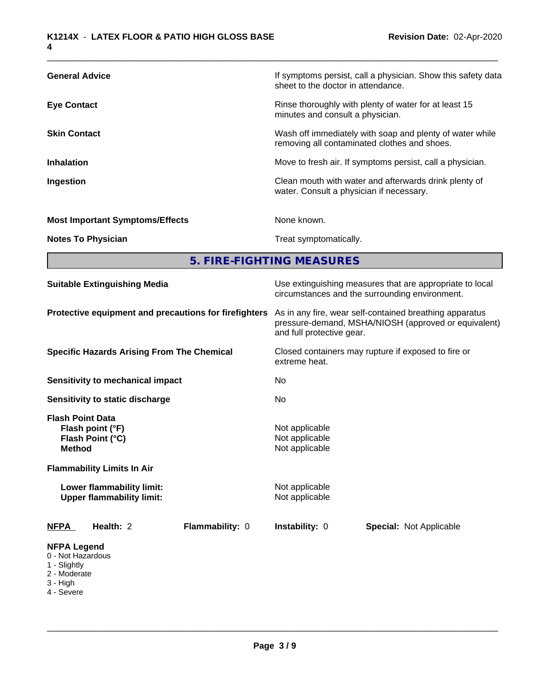| <b>General Advice</b>                  | If symptoms persist, call a physician. Show this safety data<br>sheet to the doctor in attendance.       |
|----------------------------------------|----------------------------------------------------------------------------------------------------------|
| <b>Eye Contact</b>                     | Rinse thoroughly with plenty of water for at least 15<br>minutes and consult a physician.                |
| <b>Skin Contact</b>                    | Wash off immediately with soap and plenty of water while<br>removing all contaminated clothes and shoes. |
| <b>Inhalation</b>                      | Move to fresh air. If symptoms persist, call a physician.                                                |
| <b>Ingestion</b>                       | Clean mouth with water and afterwards drink plenty of<br>water. Consult a physician if necessary.        |
| <b>Most Important Symptoms/Effects</b> | None known.                                                                                              |
| <b>Notes To Physician</b>              | Treat symptomatically.                                                                                   |
|                                        |                                                                                                          |

**5. FIRE-FIGHTING MEASURES**

| <b>Suitable Extinguishing Media</b>                                                                                   | Use extinguishing measures that are appropriate to local<br>circumstances and the surrounding environment.                                   |  |  |  |
|-----------------------------------------------------------------------------------------------------------------------|----------------------------------------------------------------------------------------------------------------------------------------------|--|--|--|
| Protective equipment and precautions for firefighters                                                                 | As in any fire, wear self-contained breathing apparatus<br>pressure-demand, MSHA/NIOSH (approved or equivalent)<br>and full protective gear. |  |  |  |
| <b>Specific Hazards Arising From The Chemical</b>                                                                     | Closed containers may rupture if exposed to fire or<br>extreme heat.                                                                         |  |  |  |
| <b>Sensitivity to mechanical impact</b>                                                                               | No                                                                                                                                           |  |  |  |
| Sensitivity to static discharge                                                                                       | No                                                                                                                                           |  |  |  |
| <b>Flash Point Data</b><br>Flash point (°F)<br>Flash Point (°C)<br><b>Method</b><br><b>Flammability Limits In Air</b> | Not applicable<br>Not applicable<br>Not applicable                                                                                           |  |  |  |
| Lower flammability limit:<br><b>Upper flammability limit:</b>                                                         | Not applicable<br>Not applicable                                                                                                             |  |  |  |
| Health: 2<br>Flammability: 0<br><b>NFPA</b>                                                                           | <b>Instability: 0</b><br><b>Special: Not Applicable</b>                                                                                      |  |  |  |
| <b>NFPA Legend</b><br>0 - Not Hazardous<br>1 - Slightly<br>2 - Moderate<br>3 - High<br>4 - Severe                     |                                                                                                                                              |  |  |  |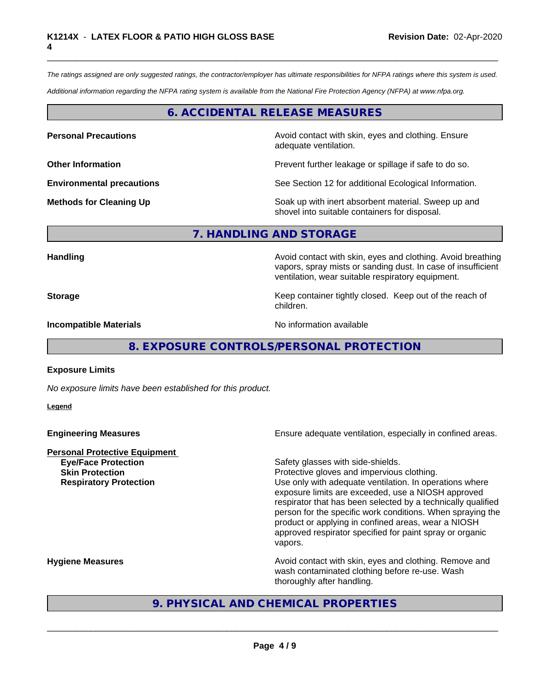*The ratings assigned are only suggested ratings, the contractor/employer has ultimate responsibilities for NFPA ratings where this system is used.*

*Additional information regarding the NFPA rating system is available from the National Fire Protection Agency (NFPA) at www.nfpa.org.*

## **6. ACCIDENTAL RELEASE MEASURES**

**Personal Precautions Avoid contact with skin, eyes and clothing. Ensure** Avoid contact with skin, eyes and clothing. Ensure adequate ventilation.

**Other Information Discription Prevent further leakage or spillage if safe to do so.** 

**Environmental precautions** See Section 12 for additional Ecological Information.

**Methods for Cleaning Up Example 20 Soak** up with inert absorbent material. Sweep up and shovel into suitable containers for disposal.

vapors, spray mists or sanding dust. In case of insufficient

#### **7. HANDLING AND STORAGE**

**Handling Handling Avoid contact with skin, eyes and clothing. Avoid breathing** 

**Storage Keep container tightly closed. Keep out of the reach of Keep** container tightly closed. Keep out of the reach of children.

ventilation, wear suitable respiratory equipment.

**Incompatible Materials No information available No information available** 

**8. EXPOSURE CONTROLS/PERSONAL PROTECTION**

#### **Exposure Limits**

*No exposure limits have been established for this product.*

**Legend**

| <b>Engineering Measures</b>          | Ensure adequate ventilation, especially in confined areas.                                                                                                                                                                                                                                                                                                                |
|--------------------------------------|---------------------------------------------------------------------------------------------------------------------------------------------------------------------------------------------------------------------------------------------------------------------------------------------------------------------------------------------------------------------------|
| <b>Personal Protective Equipment</b> |                                                                                                                                                                                                                                                                                                                                                                           |
| <b>Eye/Face Protection</b>           | Safety glasses with side-shields.                                                                                                                                                                                                                                                                                                                                         |
| <b>Skin Protection</b>               | Protective gloves and impervious clothing.                                                                                                                                                                                                                                                                                                                                |
| <b>Respiratory Protection</b>        | Use only with adequate ventilation. In operations where<br>exposure limits are exceeded, use a NIOSH approved<br>respirator that has been selected by a technically qualified<br>person for the specific work conditions. When spraying the<br>product or applying in confined areas, wear a NIOSH<br>approved respirator specified for paint spray or organic<br>vapors. |
| <b>Hygiene Measures</b>              | Avoid contact with skin, eyes and clothing. Remove and<br>wash contaminated clothing before re-use. Wash<br>thoroughly after handling.                                                                                                                                                                                                                                    |

## **9. PHYSICAL AND CHEMICAL PROPERTIES**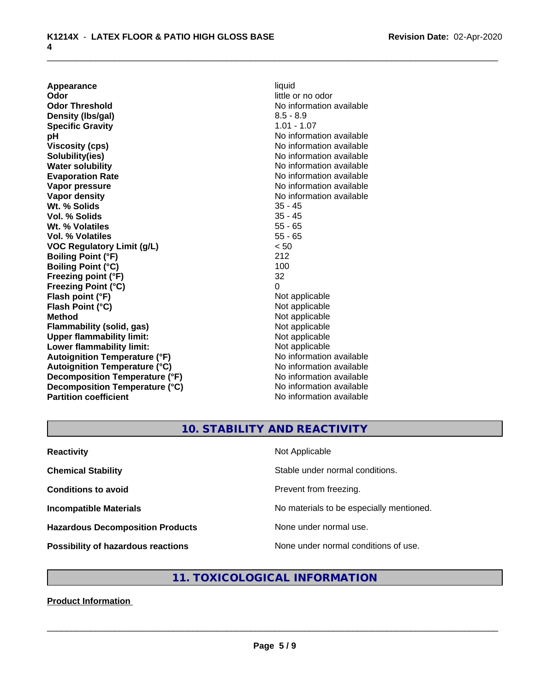**Appearance** liquid<br> **Odor** little c **Odor Threshold** No information available **Density (Ibs/gal)** 8.5 - 8.9<br> **Specific Gravity** 8.5 - 8.9 **Specific Gravity pH** No information available **Viscosity (cps)** No information available Notice 1, 1999 **Solubility(ies)** No information available in the solution of the solution of the solution available in the solution of the solution of the solution of the solution of the solution of the solution of the solution of the so **Water solubility** No information available **Evaporation Rate No information available No information available Vapor pressure** No information available **Vapor density**<br> **We Solids**<br>
We Solid Wi, % Solids
25 - 45 **Wt. % Solids** 35 - 45<br> **Vol. % Solids** 35 - 45 **Vol. % Solids Wt. % Volatiles** 55 - 65 **Vol. % Volatiles** 55 - 65 **VOC Regulatory Limit (g/L)** < 50 **Boiling Point (°F)** 212 **Boiling Point (°C) Freezing point (°F)** 32 **Freezing Point (°C)** 0 **Flash point (°F)** Not applicable **Flash Point (°C)** Not applicable **Method** Not applicable<br> **Flammability (solid, gas)** Not applicable Not applicable **Flammability (solid, gas)** Not applicable<br> **Upper flammability limit:** Not applicable<br>
Not applicable **Upper flammability limit:**<br> **Lower flammability limit:**<br>
Not applicable<br>
Not applicable **Lower flammability limit:**<br> **Autoignition Temperature (°F)** Not applicable available and the Mustafable and Mustafable and Mustafable and Mu **Autoignition Temperature (°F) Autoignition Temperature (°C)** No information available **Decomposition Temperature (°F)** No information available **Decomposition Temperature (°C)** No information available **Partition coefficient** No information available

little or no odor

## **10. STABILITY AND REACTIVITY**

| <b>Reactivity</b>                         | Not Applicable                           |
|-------------------------------------------|------------------------------------------|
| <b>Chemical Stability</b>                 | Stable under normal conditions.          |
| <b>Conditions to avoid</b>                | Prevent from freezing.                   |
| <b>Incompatible Materials</b>             | No materials to be especially mentioned. |
| <b>Hazardous Decomposition Products</b>   | None under normal use.                   |
| <b>Possibility of hazardous reactions</b> | None under normal conditions of use.     |

## **11. TOXICOLOGICAL INFORMATION**

#### **Product Information**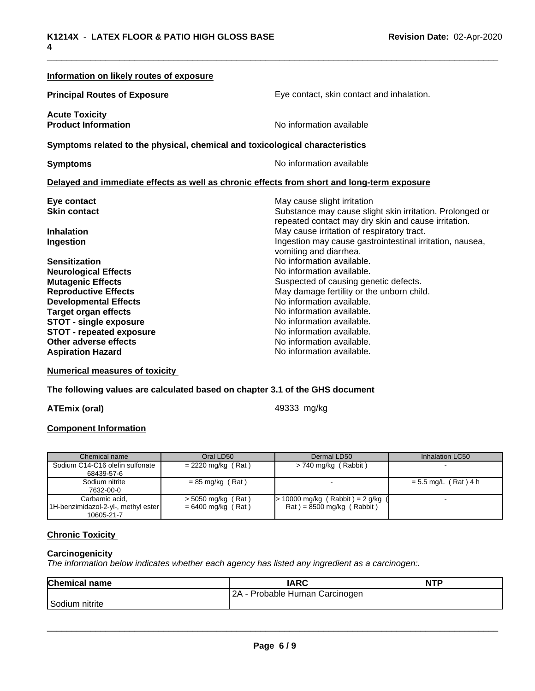| Eye contact, skin contact and inhalation.                                                                                                                                                                                                                                                                                                            |  |  |  |
|------------------------------------------------------------------------------------------------------------------------------------------------------------------------------------------------------------------------------------------------------------------------------------------------------------------------------------------------------|--|--|--|
| No information available                                                                                                                                                                                                                                                                                                                             |  |  |  |
| Symptoms related to the physical, chemical and toxicological characteristics                                                                                                                                                                                                                                                                         |  |  |  |
| No information available<br><b>Symptoms</b>                                                                                                                                                                                                                                                                                                          |  |  |  |
| Delayed and immediate effects as well as chronic effects from short and long-term exposure                                                                                                                                                                                                                                                           |  |  |  |
| May cause slight irritation<br>Substance may cause slight skin irritation. Prolonged or<br>repeated contact may dry skin and cause irritation.<br>May cause irritation of respiratory tract.<br>Ingestion may cause gastrointestinal irritation, nausea,                                                                                             |  |  |  |
| vomiting and diarrhea.<br>No information available.<br>No information available.<br>Suspected of causing genetic defects.<br>May damage fertility or the unborn child.<br>No information available.<br>No information available.<br>No information available.<br>No information available.<br>No information available.<br>No information available. |  |  |  |
|                                                                                                                                                                                                                                                                                                                                                      |  |  |  |

**Numerical measures of toxicity**

**The following values are calculated based on chapter 3.1 of the GHS document**

**ATEmix (oral) ATEmix** (oral)

#### **Component Information**

| Chemical name                       | Oral LD50            | Dermal LD50                         | Inhalation LC50        |
|-------------------------------------|----------------------|-------------------------------------|------------------------|
| Sodium C14-C16 olefin sulfonate     | $= 2220$ mg/kg (Rat) | > 740 mg/kg (Rabbit)                |                        |
| 68439-57-6                          |                      |                                     |                        |
| Sodium nitrite                      | $= 85$ mg/kg (Rat)   |                                     | $= 5.5$ mg/L (Rat) 4 h |
| 7632-00-0                           |                      |                                     |                        |
| Carbamic acid,                      | $>$ 5050 mg/kg (Rat) | $> 10000$ mg/kg (Rabbit) = 2 g/kg ( |                        |
| 1H-benzimidazol-2-yl-, methyl ester | $= 6400$ mg/kg (Rat) | $Rat$ = 8500 mg/kg (Rabbit)         |                        |
| 10605-21-7                          |                      |                                     |                        |

## **Chronic Toxicity**

#### **Carcinogenicity**

*The information below indicateswhether each agency has listed any ingredient as a carcinogen:.*

| <b>Chemical name</b> | <b>IARC</b>                     | <b>NTF</b> |
|----------------------|---------------------------------|------------|
|                      | OΑ<br>Probable Human Carcinogen |            |
| Sodium<br>nitrite    |                                 |            |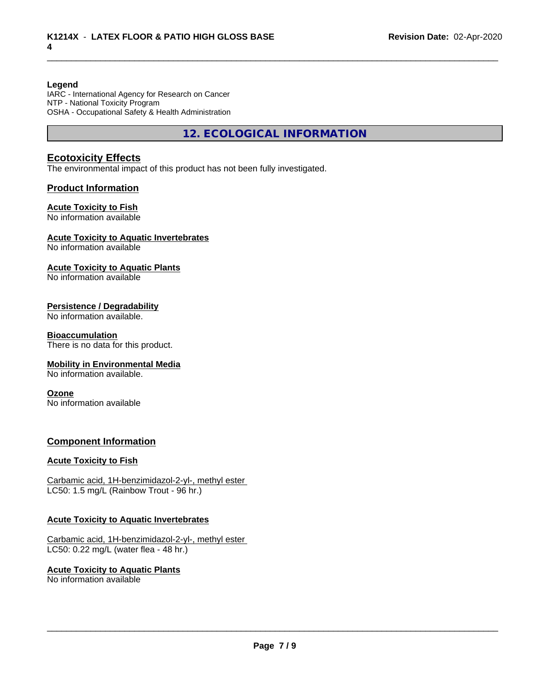#### **Legend**

IARC - International Agency for Research on Cancer NTP - National Toxicity Program OSHA - Occupational Safety & Health Administration

**12. ECOLOGICAL INFORMATION**

## **Ecotoxicity Effects**

The environmental impact of this product has not been fully investigated.

#### **Product Information**

#### **Acute Toxicity to Fish**

No information available

#### **Acute Toxicity to Aquatic Invertebrates**

No information available

#### **Acute Toxicity to Aquatic Plants**

No information available

#### **Persistence / Degradability**

No information available.

#### **Bioaccumulation**

There is no data for this product.

#### **Mobility in Environmental Media**

No information available.

#### **Ozone**

No information available

#### **Component Information**

#### **Acute Toxicity to Fish**

Carbamic acid, 1H-benzimidazol-2-yl-, methyl ester LC50: 1.5 mg/L (Rainbow Trout - 96 hr.)

#### **Acute Toxicity to Aquatic Invertebrates**

Carbamic acid, 1H-benzimidazol-2-yl-, methyl ester LC50: 0.22 mg/L (water flea - 48 hr.)

**Acute Toxicity to Aquatic Plants** No information available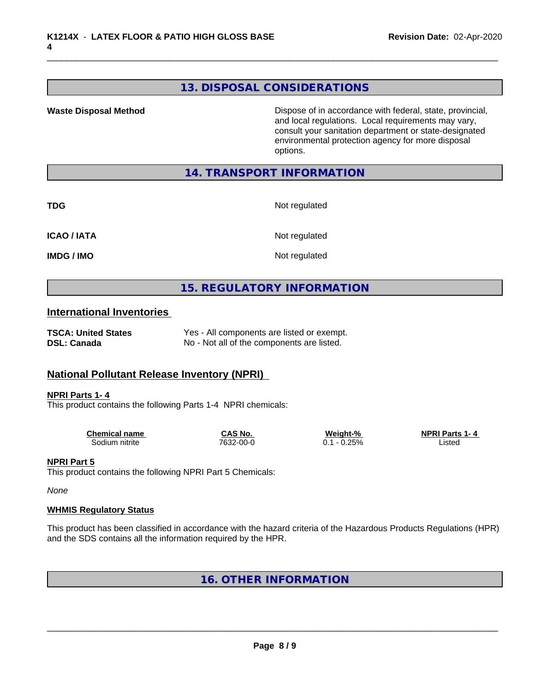## **13. DISPOSAL CONSIDERATIONS**

**Waste Disposal Method Dispose of in accordance with federal, state, provincial,** and local regulations. Local requirements may vary, consult your sanitation department or state-designated environmental protection agency for more disposal options.

## **14. TRANSPORT INFORMATION**

| _<br>٠<br>۰,<br>×<br>v |
|------------------------|
|------------------------|

**Not regulated** 

**ICAO / IATA** Not regulated

**IMDG / IMO** Not regulated

## **15. REGULATORY INFORMATION**

#### **International Inventories**

| <b>TSCA: United States</b> | Yes - All components are listed or exempt. |
|----------------------------|--------------------------------------------|
| <b>DSL: Canada</b>         | No - Not all of the components are listed. |

## **National Pollutant Release Inventory (NPRI)**

#### **NPRI Parts 1- 4**

This product contains the following Parts 1-4 NPRI chemicals:

| <b>Chemical name</b> | CAS No    | Weight-%                 | <b>NPRI Parts</b><br>1 — Д |
|----------------------|-----------|--------------------------|----------------------------|
| nitrite<br>50dium    | 7632-00-0 | 25%<br>-<br>. <i>. .</i> | ∟isted<br>.                |

#### **NPRI Part 5**

This product contains the following NPRI Part 5 Chemicals:

*None*

#### **WHMIS Regulatory Status**

This product has been classified in accordance with the hazard criteria of the Hazardous Products Regulations (HPR) and the SDS contains all the information required by the HPR.

## **16. OTHER INFORMATION**